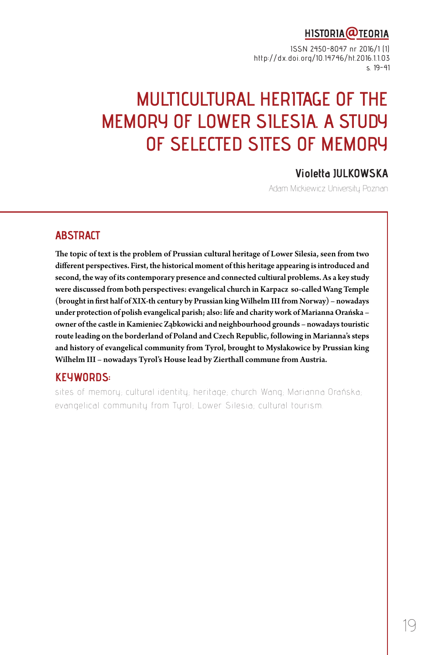# HISTORIA@TEORIA

ISSN 2450-8047 nr 2016/1 (1) http://dx.doi.org/10.14746/ht.2016.1.1.03 s. 19-41

# **MULTICULTURAL HERITAGE OF THE MEMORY OF LOWER SILESIA. A STUDY OF SELECTED SITES OF MEMORY**

#### **Violetta JULKOWSKA**

Adam Mickiewicz University Poznan

#### **ABSTRACT**

The topic of text is the problem of Prussian cultural heritage of Lower Silesia, seen from two different perspectives. First, the historical moment of this heritage appearing is introduced and second, the way of its contemporary presence and connected cultiural problems. As a key study were discussed from both perspectives: evangelical church in Karpacz so-called Wang Temple (brought in first half of XIX-th century by Prussian king Wilhelm III from Norway) – nowadays under protection of polish evangelical parish; also: life and charity work of Marianna Orańska – owner of the castle in Kamieniec Ząbkowicki and neighbourhood grounds – nowadays touristic route leading on the borderland of Poland and Czech Republic, following in Marianna's steps and history of evangelical community from Tyrol, brought to Mysłakowice by Prussian king Wilhelm III – nowadays Tyrol's House lead by Zierthall commune from Austria.

#### **KEYWORDS:**

sites of memory; cultural identity; heritage; church Wang; Marianna Orańska; evangelical community from Tyrol; Lower Silesia; cultural tourism.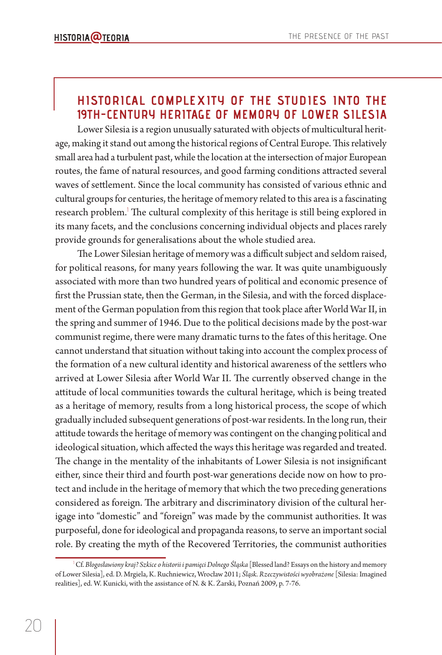## **HISTORICAL COMPLEXITY OF THE STUDIES INTO THE 19TH-CENTURY HERITAGE OF MEMORY OF LOWER SILESIA**

Lower Silesia is a region unusually saturated with objects of multicultural heritage, making it stand out among the historical regions of Central Europe. This relatively small area had a turbulent past, while the location at the intersection of major European routes, the fame of natural resources, and good farming conditions attracted several waves of settlement. Since the local community has consisted of various ethnic and cultural groups for centuries, the heritage of memory related to this area is a fascinating research problem.<sup>1</sup> The cultural complexity of this heritage is still being explored in its many facets, and the conclusions concerning individual objects and places rarely provide grounds for generalisations about the whole studied area.

The Lower Silesian heritage of memory was a difficult subject and seldom raised, for political reasons, for many years following the war. It was quite unambiguously associated with more than two hundred years of political and economic presence of first the Prussian state, then the German, in the Silesia, and with the forced displacement of the German population from this region that took place after World War II, in the spring and summer of 1946. Due to the political decisions made by the post-war communist regime, there were many dramatic turns to the fates of this heritage. One cannot understand that situation without taking into account the complex process of the formation of a new cultural identity and historical awareness of the settlers who arrived at Lower Silesia after World War II. The currently observed change in the attitude of local communities towards the cultural heritage, which is being treated as a heritage of memory, results from a long historical process, the scope of which gradually included subsequent generations of post-war residents. In the long run, their attitude towards the heritage of memory was contingent on the changing political and ideological situation, which affected the ways this heritage was regarded and treated. The change in the mentality of the inhabitants of Lower Silesia is not insignificant either, since their third and fourth post-war generations decide now on how to protect and include in the heritage of memory that which the two preceding generations considered as foreign. The arbitrary and discriminatory division of the cultural herigage into "domestic" and "foreign" was made by the communist authorities. It was purposeful, done for ideological and propaganda reasons, to serve an important social role. By creating the myth of the Recovered Territories, the communist authorities

<sup>1</sup> Cf. *Błogosławiony kraj? Szkice o historii i pamięci Dolnego Śląska* [Blessed land? Essays on the history and memory of Lower Silesia], ed. D. Mrgiela, K. Ruchniewicz, Wrocław 2011; *Śląsk. Rzeczywistości wyobrażone* [Silesia: Imagined realities], ed. W. Kunicki, with the assistance of N. & K. Żarski, Poznań 2009, p. 7-76.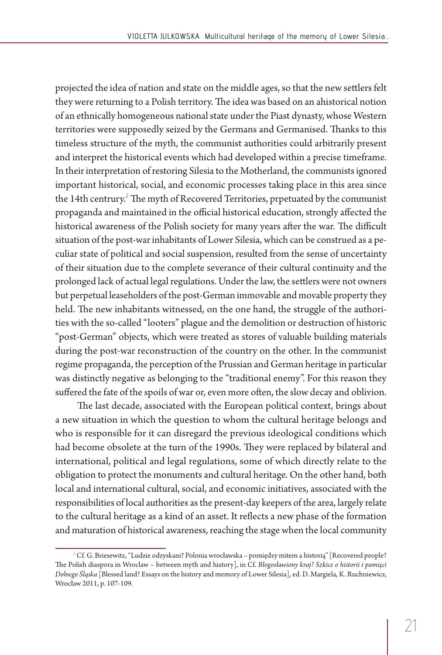projected the idea of nation and state on the middle ages, so that the new settlers felt they were returning to a Polish territory. The idea was based on an ahistorical notion of an ethnically homogeneous national state under the Piast dynasty, whose Western territories were supposedly seized by the Germans and Germanised. Thanks to this timeless structure of the myth, the communist authorities could arbitrarily present and interpret the historical events which had developed within a precise timeframe. In their interpretation of restoring Silesia to the Motherland, the communists ignored important historical, social, and economic processes taking place in this area since the 14th centrury. $^2$  The myth of Recovered Territories, prpetuated by the communist propaganda and maintained in the official historical education, strongly affected the historical awareness of the Polish society for many years after the war. The difficult situation of the post-war inhabitants of Lower Silesia, which can be construed as a peculiar state of political and social suspension, resulted from the sense of uncertainty of their situation due to the complete severance of their cultural continuity and the prolonged lack of actual legal regulations. Under the law, the settlers were not owners but perpetual leaseholders of the post-German immovable and movable property they held. The new inhabitants witnessed, on the one hand, the struggle of the authorities with the so-called "looters" plague and the demolition or destruction of historic "post-German" objects, which were treated as stores of valuable building materials during the post-war reconstruction of the country on the other. In the communist regime propaganda, the perception of the Prussian and German heritage in particular was distinctly negative as belonging to the "traditional enemy". For this reason they suffered the fate of the spoils of war or, even more often, the slow decay and oblivion.

The last decade, associated with the European political context, brings about a new situation in which the question to whom the cultural heritage belongs and who is responsible for it can disregard the previous ideological conditions which had become obsolete at the turn of the 1990s. They were replaced by bilateral and international, political and legal regulations, some of which directly relate to the obligation to protect the monuments and cultural heritage. On the other hand, both local and international cultural, social, and economic initiatives, associated with the responsibilities of local authorities as the present-day keepers of the area, largely relate to the cultural heritage as a kind of an asset. It reflects a new phase of the formation and maturation of historical awareness, reaching the stage when the local community

<sup>2</sup> Cf. G. Briesewitz, "Ludzie odzyskani? Polonia wrocławska – pomiędzy mitem a historią" [Recovered people? The Polish diaspora in Wroclaw – between myth and history], in Cf. *Błogosławiony kraj? Szkice o historii i pamięci Dolnego Śląska* [Blessed land? Essays on the history and memory of Lower Silesia], ed. D. Margiela, K. Ruchniewicz, Wrocław 2011, p. 107-109.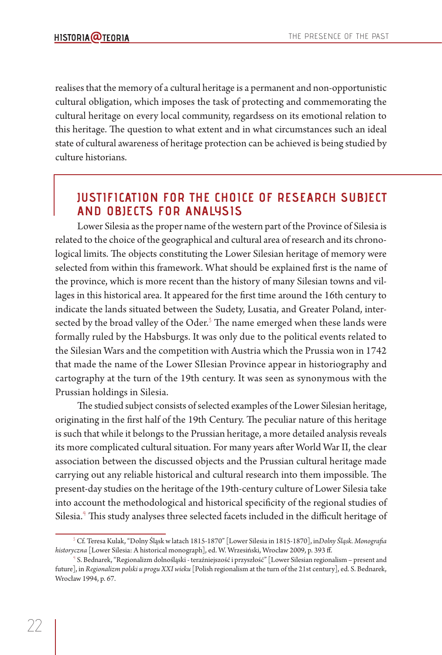realises that the memory of a cultural heritage is a permanent and non-opportunistic cultural obligation, which imposes the task of protecting and commemorating the cultural heritage on every local community, regardsess on its emotional relation to this heritage. The question to what extent and in what circumstances such an ideal state of cultural awareness of heritage protection can be achieved is being studied by culture historians.

# **JUSTIFICATION FOR THE CHOICE OF RESEARCH SUBJECT AND OBJECTS FOR ANALYSIS**

Lower Silesia as the proper name of the western part of the Province of Silesia is related to the choice of the geographical and cultural area of research and its chronological limits. The objects constituting the Lower Silesian heritage of memory were selected from within this framework. What should be explained first is the name of the province, which is more recent than the history of many Silesian towns and villages in this historical area. It appeared for the first time around the 16th century to indicate the lands situated between the Sudety, Lusatia, and Greater Poland, intersected by the broad valley of the Oder. $3$  The name emerged when these lands were formally ruled by the Habsburgs. It was only due to the political events related to the Silesian Wars and the competition with Austria which the Prussia won in 1742 that made the name of the Lower SIlesian Province appear in historiography and cartography at the turn of the 19th century. It was seen as synonymous with the Prussian holdings in Silesia.

The studied subject consists of selected examples of the Lower Silesian heritage, originating in the first half of the 19th Century. The peculiar nature of this heritage is such that while it belongs to the Prussian heritage, a more detailed analysis reveals its more complicated cultural situation. For many years after World War II, the clear association between the discussed objects and the Prussian cultural heritage made carrying out any reliable historical and cultural research into them impossible. The present-day studies on the heritage of the 19th-century culture of Lower Silesia take into account the methodological and historical specificity of the regional studies of Silesia.<sup>4</sup> This study analyses three selected facets included in the difficult heritage of

<sup>&</sup>lt;sup>3</sup> Cf. Teresa Kulak, "Dolny Śląsk w latach 1815-1870" [Lower Silesia in 1815-1870], in*Dolny Śląsk. Monografia historyczna* [Lower Silesia: A historical monograph], ed. W. Wrzesiński, Wrocław 2009, p. 393 ff .

<sup>4</sup> S. Bednarek, "Regionalizm dolnośląski - teraźniejszość i przyszłość" [Lower Silesian regionalism – present and future], in *Regionalizm polski u progu XXI wieku* [Polish regionalism at the turn of the 21st century], ed. S. Bednarek, Wrocław 1994, p. 67.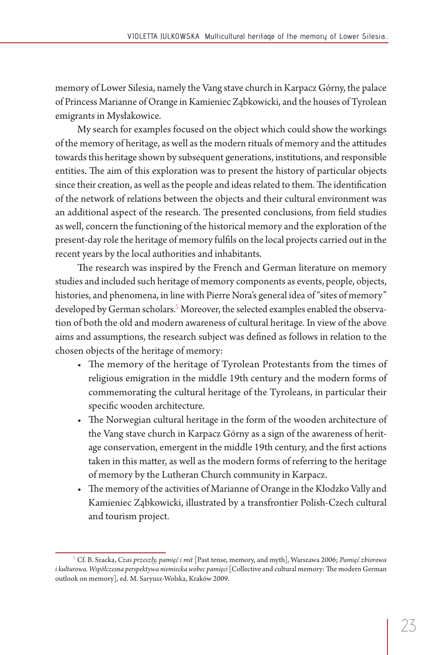memory of Lower Silesia, namely the Vang stave church in Karpacz Górny, the palace of Princess Marianne of Orange in Kamieniec Ząbkowicki, and the houses of Tyrolean emigrants in Mysłakowice.

My search for examples focused on the object which could show the workings of the memory of heritage, as well as the modern rituals of memory and the attitudes towards this heritage shown by subsequent generations, institutions, and responsible entities. The aim of this exploration was to present the history of particular objects since their creation, as well as the people and ideas related to them. The identification of the network of relations between the objects and their cultural environment was an additional aspect of the research. The presented conclusions, from field studies as well, concern the functioning of the historical memory and the exploration of the present-day role the heritage of memory fulfils on the local projects carried out in the recent years by the local authorities and inhabitants.

The research was inspired by the French and German literature on memory studies and included such heritage of memory components as events, people, objects, histories, and phenomena, in line with Pierre Nora's general idea of "sites of memory" developed by German scholars.<sup>5</sup> Moreover, the selected examples enabled the observation of both the old and modern awareness of cultural heritage. In view of the above aims and assumptions, the research subject was defined as follows in relation to the chosen objects of the heritage of memory:

- The memory of the heritage of Tyrolean Protestants from the times of religious emigration in the middle 19th century and the modern forms of commemorating the cultural heritage of the Tyroleans, in particular their specific wooden architecture.
- The Norwegian cultural heritage in the form of the wooden architecture of the Vang stave church in Karpacz Górny as a sign of the awareness of heritage conservation, emergent in the middle 19th century, and the first actions taken in this matter, as well as the modern forms of referring to the heritage of memory by the Lutheran Church community in Karpacz.
- The memory of the activities of Marianne of Orange in the Kłodzko Vally and Kamieniec Ząbkowicki, illustrated by a transfrontier Polish-Czech cultural and tourism project.

<sup>5</sup> Cf. B. Szacka, *Czas przeszły, pamięć i mit* [Past tense, memory, and myth], Warszawa 2006; *Pamięć zbiorowa i kulturowa. Współczesna perspektywa niemiecka wobec pamięci* [Collective and cultural memory: The modern German outlook on memory], ed. M. Saryusz-Wolska, Kraków 2009.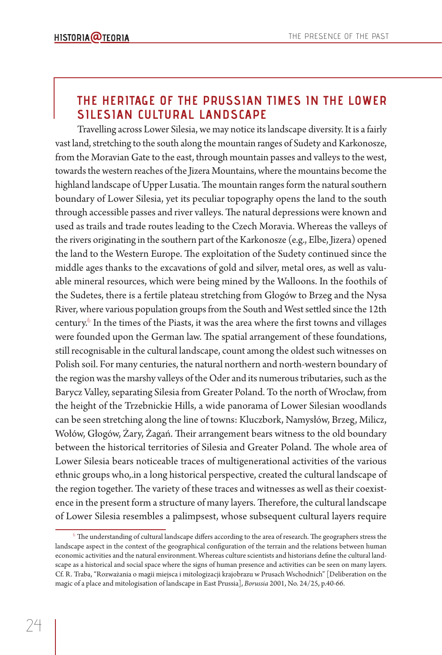# **THE HERITAGE OF THE PRUSSIAN TIMES IN THE LOWER SILESIAN CULTURAL LANDSCAPE**

Travelling across Lower Silesia, we may notice its landscape diversity. It is a fairly vast land, stretching to the south along the mountain ranges of Sudety and Karkonosze, from the Moravian Gate to the east, through mountain passes and valleys to the west, towards the western reaches of the Jizera Mountains, where the mountains become the highland landscape of Upper Lusatia. The mountain ranges form the natural southern boundary of Lower Silesia, yet its peculiar topography opens the land to the south through accessible passes and river valleys. The natural depressions were known and used as trails and trade routes leading to the Czech Moravia. Whereas the valleys of the rivers originating in the southern part of the Karkonosze (e.g., Elbe, Jizera) opened the land to the Western Europe. The exploitation of the Sudety continued since the middle ages thanks to the excavations of gold and silver, metal ores, as well as valuable mineral resources, which were being mined by the Walloons. In the foothils of the Sudetes, there is a fertile plateau stretching from Głogów to Brzeg and the Nysa River, where various population groups from the South and West settled since the 12th century.<sup>6</sup> In the times of the Piasts, it was the area where the first towns and villages were founded upon the German law. The spatial arrangement of these foundations, still recognisable in the cultural landscape, count among the oldest such witnesses on Polish soil. For many centuries, the natural northern and north-western boundary of the region was the marshy valleys of the Oder and its numerous tributaries, such as the Barycz Valley, separating Silesia from Greater Poland. To the north of Wrocław, from the height of the Trzebnickie Hills, a wide panorama of Lower Silesian woodlands can be seen stretching along the line of towns: Kluczbork, Namysłów, Brzeg, Milicz, Wołów, Głogów, Żary, Żagań. Their arrangement bears witness to the old boundary between the historical territories of Silesia and Greater Poland. The whole area of Lower Silesia bears noticeable traces of multigenerational activities of the various ethnic groups who,.in a long historical perspective, created the cultural landscape of the region together. The variety of these traces and witnesses as well as their coexistence in the present form a structure of many layers. Therefore, the cultural landscape of Lower Silesia resembles a palimpsest, whose subsequent cultural layers require

 $^6$  The understanding of cultural landscape differs according to the area of research. The geographers stress the landscape aspect in the context of the geographical configuration of the terrain and the relations between human economic activities and the natural environment. Whereas culture scientists and historians define the cultural landscape as a historical and social space where the signs of human presence and activities can be seen on many layers. Cf. R. Traba, "Rozważania o magii miejsca i mitologizacji krajobrazu w Prusach Wschodnich" [Deliberation on the magic of a place and mitologisation of landscape in East Prussia], *Borussia* 2001, No. 24/25, p.40-66.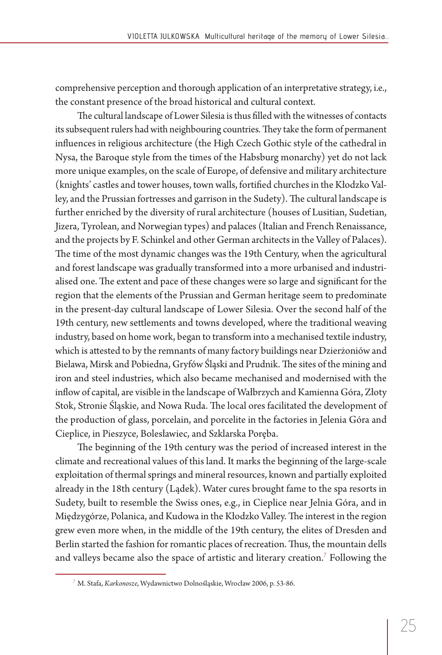comprehensive perception and thorough application of an interpretative strategy, i.e., the constant presence of the broad historical and cultural context.

The cultural landscape of Lower Silesia is thus filled with the witnesses of contacts its subsequent rulers had with neighbouring countries. They take the form of permanent influences in religious architecture (the High Czech Gothic style of the cathedral in Nysa, the Baroque style from the times of the Habsburg monarchy) yet do not lack more unique examples, on the scale of Europe, of defensive and military architecture (knights' castles and tower houses, town walls, fortified churches in the Kłodzko Valley, and the Prussian fortresses and garrison in the Sudety). The cultural landscape is further enriched by the diversity of rural architecture (houses of Lusitian, Sudetian, Jizera, Tyrolean, and Norwegian types) and palaces (Italian and French Renaissance, and the projects by F. Schinkel and other German architects in the Valley of Palaces). The time of the most dynamic changes was the 19th Century, when the agricultural and forest landscape was gradually transformed into a more urbanised and industrialised one. The extent and pace of these changes were so large and significant for the region that the elements of the Prussian and German heritage seem to predominate in the present-day cultural landscape of Lower Silesia. Over the second half of the 19th century, new settlements and towns developed, where the traditional weaving industry, based on home work, began to transform into a mechanised textile industry, which is attested to by the remnants of many factory buildings near Dzierżoniów and Bielawa, Mirsk and Pobiedna, Gryfów Śląski and Prudnik. The sites of the mining and iron and steel industries, which also became mechanised and modernised with the inflow of capital, are visible in the landscape of Wałbrzych and Kamienna Góra, Złoty Stok, Stronie Śląskie, and Nowa Ruda. The local ores facilitated the development of the production of glass, porcelain, and porcelite in the factories in Jelenia Góra and Cieplice, in Pieszyce, Bolesławiec, and Szklarska Poręba.

The beginning of the 19th century was the period of increased interest in the climate and recreational values of this land. It marks the beginning of the large-scale exploitation of thermal springs and mineral resources, known and partially exploited already in the 18th century (Lądek). Water cures brought fame to the spa resorts in Sudety, built to resemble the Swiss ones, e.g., in Cieplice near Jelnia Góra, and in Międzygórze, Polanica, and Kudowa in the Kłodzko Valley. The interest in the region grew even more when, in the middle of the 19th century, the elites of Dresden and Berlin started the fashion for romantic places of recreation. Thus, the mountain dells and valleys became also the space of artistic and literary creation.<sup>7</sup> Following the

<sup>7</sup> M. Stafa, *Karkonosze*, Wydawnictwo Dolnośląskie, Wrocław 2006, p. 53-86.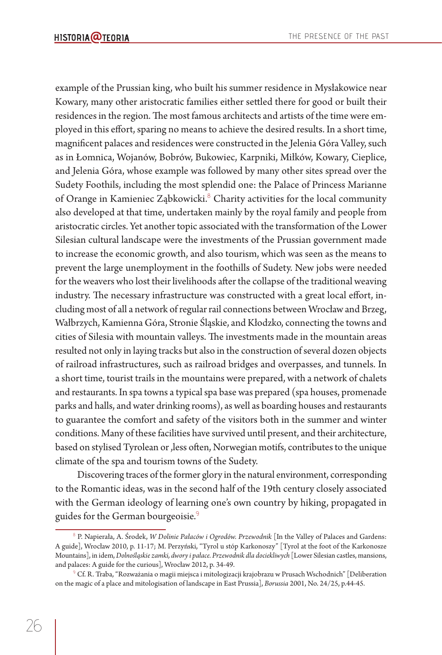example of the Prussian king, who built his summer residence in Mysłakowice near Kowary, many other aristocratic families either settled there for good or built their residences in the region. The most famous architects and artists of the time were employed in this effort, sparing no means to achieve the desired results. In a short time, magnificent palaces and residences were constructed in the Jelenia Góra Valley, such as in Łomnica, Wojanów, Bobrów, Bukowiec, Karpniki, Miłków, Kowary, Cieplice, and Jelenia Góra, whose example was followed by many other sites spread over the Sudety Foothils, including the most splendid one: the Palace of Princess Marianne of Orange in Kamieniec Ząbkowicki.<sup>8</sup> Charity activities for the local community also developed at that time, undertaken mainly by the royal family and people from aristocratic circles. Yet another topic associated with the transformation of the Lower Silesian cultural landscape were the investments of the Prussian government made to increase the economic growth, and also tourism, which was seen as the means to prevent the large unemployment in the foothills of Sudety. New jobs were needed for the weavers who lost their livelihoods after the collapse of the traditional weaving industry. The necessary infrastructure was constructed with a great local effort, including most of all a network of regular rail connections between Wrocław and Brzeg, Wałbrzych, Kamienna Góra, Stronie Śląskie, and Kłodzko, connecting the towns and cities of Silesia with mountain valleys. The investments made in the mountain areas resulted not only in laying tracks but also in the construction of several dozen objects of railroad infrastructures, such as railroad bridges and overpasses, and tunnels. In a short time, tourist trails in the mountains were prepared, with a network of chalets and restaurants. In spa towns a typical spa base was prepared (spa houses, promenade parks and halls, and water drinking rooms), as well as boarding houses and restaurants to guarantee the comfort and safety of the visitors both in the summer and winter conditions. Many of these facilities have survived until present, and their architecture, based on stylised Tyrolean or , less often, Norwegian motifs, contributes to the unique climate of the spa and tourism towns of the Sudety.

Discovering traces of the former glory in the natural environment, corresponding to the Romantic ideas, was in the second half of the 19th century closely associated with the German ideology of learning one's own country by hiking, propagated in guides for the German bourgeoisie.<sup>9</sup>

<sup>&</sup>lt;sup>8</sup> P. Napierała, A. Środek, *W Dolinie Pałaców i Ogrodów. Przewodnik* [In the Valley of Palaces and Gardens: A guide], Wrocław 2010, p. 11-17; M. Perzyński, "Tyrol u stóp Karkonoszy" [Tyrol at the foot of the Karkonosze Mountains], in idem, *Dolnośląskie zamki, dwory i pałace. Przewodnik dla dociekliwych* [Lower Silesian castles, mansions, and palaces: A guide for the curious], Wrocław 2012, p. 34-49.

 $^\circ$  Cf. R. Traba, "Rozważania o magii miejsca i mitologizacji krajobrazu w Prusach Wschodnich" [Deliberation on the magic of a place and mitologisation of landscape in East Prussia], *Borussia* 2001, No. 24/25, p.44-45.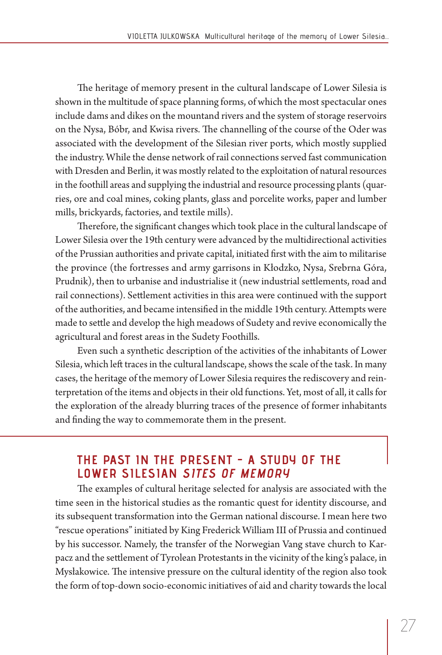The heritage of memory present in the cultural landscape of Lower Silesia is shown in the multitude of space planning forms, of which the most spectacular ones include dams and dikes on the mountand rivers and the system of storage reservoirs on the Nysa, Bóbr, and Kwisa rivers. The channelling of the course of the Oder was associated with the development of the Silesian river ports, which mostly supplied the industry. While the dense network of rail connections served fast communication with Dresden and Berlin, it was mostly related to the exploitation of natural resources in the foothill areas and supplying the industrial and resource processing plants (quarries, ore and coal mines, coking plants, glass and porcelite works, paper and lumber mills, brickyards, factories, and textile mills).

Therefore, the significant changes which took place in the cultural landscape of Lower Silesia over the 19th century were advanced by the multidirectional activities of the Prussian authorities and private capital, initiated first with the aim to militarise the province (the fortresses and army garrisons in Kłodzko, Nysa, Srebrna Góra, Prudnik), then to urbanise and industrialise it (new industrial settlements, road and rail connections). Settlement activities in this area were continued with the support of the authorities, and became intensified in the middle 19th century. Attempts were made to settle and develop the high meadows of Sudety and revive economically the agricultural and forest areas in the Sudety Foothills.

Even such a synthetic description of the activities of the inhabitants of Lower Silesia, which left traces in the cultural landscape, shows the scale of the task. In many cases, the heritage of the memory of Lower Silesia requires the rediscovery and reinterpretation of the items and objects in their old functions. Yet, most of all, it calls for the exploration of the already blurring traces of the presence of former inhabitants and finding the way to commemorate them in the present.

### **THE PAST IN THE PRESENT - A STUDY OF THE LOWER SILESIAN SITES OF MEMORY**

The examples of cultural heritage selected for analysis are associated with the time seen in the historical studies as the romantic quest for identity discourse, and its subsequent transformation into the German national discourse. I mean here two "rescue operations" initiated by King Frederick William III of Prussia and continued by his successor. Namely, the transfer of the Norwegian Vang stave church to Karpacz and the settlement of Tyrolean Protestants in the vicinity of the king's palace, in Mysłakowice. The intensive pressure on the cultural identity of the region also took the form of top-down socio-economic initiatives of aid and charity towards the local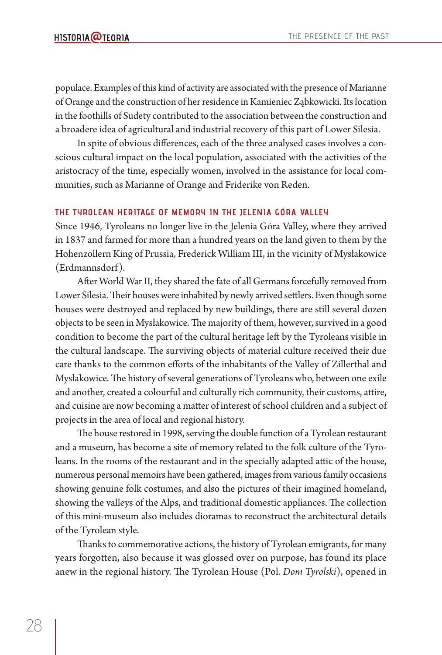populace. Examples of this kind of activity are associated with the presence of Marianne of Orange and the construction of her residence in Kamieniec Ząbkowicki. Its location in the foothills of Sudety contributed to the association between the construction and a broadere idea of agricultural and industrial recovery of this part of Lower Silesia.

In spite of obvious differences, each of the three analysed cases involves a conscious cultural impact on the local population, associated with the activities of the aristocracy of the time, especially women, involved in the assistance for local communities, such as Marianne of Orange and Friderike von Reden.

#### **THE TYROLEAN HERITAGE OF MEMORY IN THE JELENIA GÓRA VALLEY**

Since 1946, Tyroleans no longer live in the Jelenia Góra Valley, where they arrived in 1837 and farmed for more than a hundred years on the land given to them by the Hohenzollern King of Prussia, Frederick William III, in the vicinity of Mysłakowice (Erdmannsdorf).

After World War II, they shared the fate of all Germans forcefully removed from Lower Silesia. Their houses were inhabited by newly arrived settlers. Even though some houses were destroyed and replaced by new buildings, there are still several dozen objects to be seen in Mysłakowice. The majority of them, however, survived in a good condition to become the part of the cultural heritage left by the Tyroleans visible in the cultural landscape. The surviving objects of material culture received their due care thanks to the common efforts of the inhabitants of the Valley of Zillerthal and Mysłakowice. The history of several generations of Tyroleans who, between one exile and another, created a colourful and culturally rich community, their customs, attire, and cuisine are now becoming a matter of interest of school children and a subject of projects in the area of local and regional history.

The house restored in 1998, serving the double function of a Tyrolean restaurant and a museum, has become a site of memory related to the folk culture of the Tyroleans. In the rooms of the restaurant and in the specially adapted attic of the house, numerous personal memoirs have been gathered, images from various family occasions showing genuine folk costumes, and also the pictures of their imagined homeland, showing the valleys of the Alps, and traditional domestic appliances. The collection of this mini-museum also includes dioramas to reconstruct the architectural details of the Tyrolean style.

Thanks to commemorative actions, the history of Tyrolean emigrants, for many years forgotten, also because it was glossed over on purpose, has found its place anew in the regional history. The Tyrolean House (Pol. *Dom Tyrolski*), opened in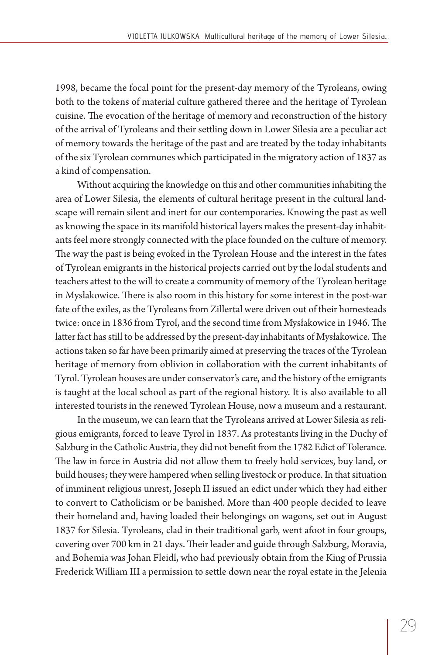1998, became the focal point for the present-day memory of the Tyroleans, owing both to the tokens of material culture gathered theree and the heritage of Tyrolean cuisine. The evocation of the heritage of memory and reconstruction of the history of the arrival of Tyroleans and their settling down in Lower Silesia are a peculiar act of memory towards the heritage of the past and are treated by the today inhabitants of the six Tyrolean communes which participated in the migratory action of 1837 as a kind of compensation.

Without acquiring the knowledge on this and other communities inhabiting the area of Lower Silesia, the elements of cultural heritage present in the cultural landscape will remain silent and inert for our contemporaries. Knowing the past as well as knowing the space in its manifold historical layers makes the present-day inhabitants feel more strongly connected with the place founded on the culture of memory. The way the past is being evoked in the Tyrolean House and the interest in the fates of Tyrolean emigrants in the historical projects carried out by the lodal students and teachers attest to the will to create a community of memory of the Tyrolean heritage in Mysłakowice. There is also room in this history for some interest in the post-war fate of the exiles, as the Tyroleans from Zillertal were driven out of their homesteads twice: once in 1836 from Tyrol, and the second time from Mysłakowice in 1946. The latter fact has still to be addressed by the present-day inhabitants of Mysłakowice. The actions taken so far have been primarily aimed at preserving the traces of the Tyrolean heritage of memory from oblivion in collaboration with the current inhabitants of Tyrol. Tyrolean houses are under conservator's care, and the history of the emigrants is taught at the local school as part of the regional history. It is also available to all interested tourists in the renewed Tyrolean House, now a museum and a restaurant.

In the museum, we can learn that the Tyroleans arrived at Lower Silesia as religious emigrants, forced to leave Tyrol in 1837. As protestants living in the Duchy of Salzburg in the Catholic Austria, they did not benefit from the 1782 Edict of Tolerance. The law in force in Austria did not allow them to freely hold services, buy land, or build houses; they were hampered when selling livestock or produce. In that situation of imminent religious unrest, Joseph II issued an edict under which they had either to convert to Catholicism or be banished. More than 400 people decided to leave their homeland and, having loaded their belongings on wagons, set out in August 1837 for Silesia. Tyroleans, clad in their traditional garb, went afoot in four groups, covering over 700 km in 21 days. Their leader and guide through Salzburg, Moravia, and Bohemia was Johan Fleidl, who had previously obtain from the King of Prussia Frederick William III a permission to settle down near the royal estate in the Jelenia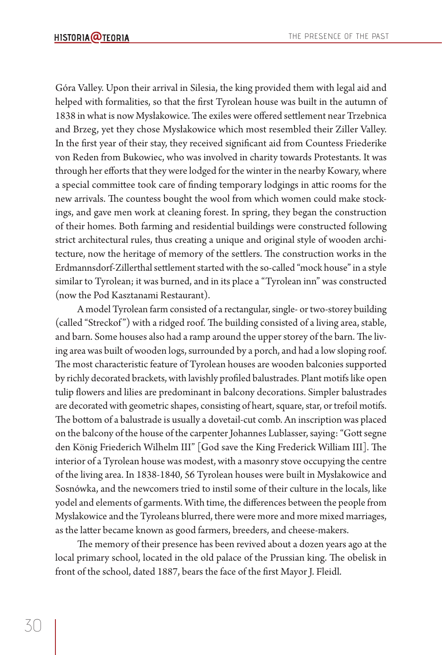Góra Valley. Upon their arrival in Silesia, the king provided them with legal aid and helped with formalities, so that the first Tyrolean house was built in the autumn of 1838 in what is now Mysłakowice. The exiles were offered settlement near Trzebnica and Brzeg, yet they chose Mysłakowice which most resembled their Ziller Valley. In the first year of their stay, they received significant aid from Countess Friederike von Reden from Bukowiec, who was involved in charity towards Protestants. It was through her efforts that they were lodged for the winter in the nearby Kowary, where a special committee took care of finding temporary lodgings in attic rooms for the new arrivals. The countess bought the wool from which women could make stockings, and gave men work at cleaning forest. In spring, they began the construction of their homes. Both farming and residential buildings were constructed following strict architectural rules, thus creating a unique and original style of wooden architecture, now the heritage of memory of the settlers. The construction works in the Erdmannsdorf-Zillerthal settlement started with the so-called "mock house" in a style similar to Tyrolean; it was burned, and in its place a "Tyrolean inn" was constructed (now the Pod Kasztanami Restaurant).

A model Tyrolean farm consisted of a rectangular, single- or two-storey building (called "Streckof") with a ridged roof. The building consisted of a living area, stable, and barn. Some houses also had a ramp around the upper storey of the barn. The living area was built of wooden logs, surrounded by a porch, and had a low sloping roof. The most characteristic feature of Tyrolean houses are wooden balconies supported by richly decorated brackets, with lavishly profiled balustrades. Plant motifs like open tulip flowers and lilies are predominant in balcony decorations. Simpler balustrades are decorated with geometric shapes, consisting of heart, square, star, or trefoil motifs. The bottom of a balustrade is usually a dovetail-cut comb. An inscription was placed on the balcony of the house of the carpenter Johannes Lublasser, saying: "Gott segne den König Friederich Wilhelm III" [God save the King Frederick William III]. The interior of a Tyrolean house was modest, with a masonry stove occupying the centre of the living area. In 1838-1840, 56 Tyrolean houses were built in Mysłakowice and Sosnówka, and the newcomers tried to instil some of their culture in the locals, like yodel and elements of garments. With time, the differences between the people from Mysłakowice and the Tyroleans blurred, there were more and more mixed marriages, as the latter became known as good farmers, breeders, and cheese-makers.

The memory of their presence has been revived about a dozen years ago at the local primary school, located in the old palace of the Prussian king. The obelisk in front of the school, dated 1887, bears the face of the first Mayor J. Fleidl.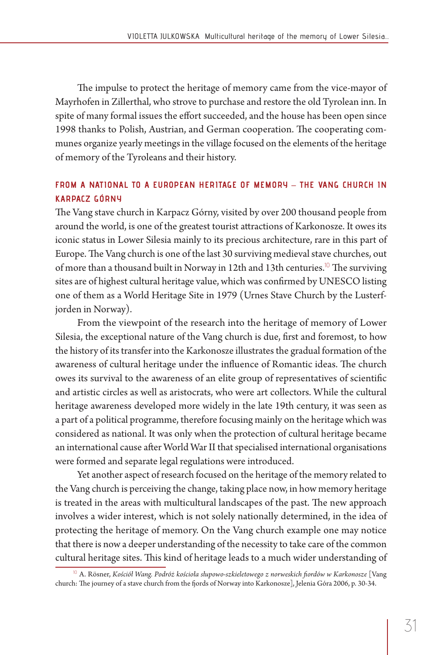The impulse to protect the heritage of memory came from the vice-mayor of Mayrhofen in Zillerthal, who strove to purchase and restore the old Tyrolean inn. In spite of many formal issues the effort succeeded, and the house has been open since 1998 thanks to Polish, Austrian, and German cooperation. The cooperating communes organize yearly meetings in the village focused on the elements of the heritage of memory of the Tyroleans and their history.

#### **FROM A NATIONAL TO A EUROPEAN HERITAGE OF MEMORY – THE VANG CHURCH IN KARPACZ GÓRNY**

The Vang stave church in Karpacz Górny, visited by over 200 thousand people from around the world, is one of the greatest tourist attractions of Karkonosze. It owes its iconic status in Lower Silesia mainly to its precious architecture, rare in this part of Europe. The Vang church is one of the last 30 surviving medieval stave churches, out of more than a thousand built in Norway in 12th and 13th centuries.<sup>10</sup> The surviving sites are of highest cultural heritage value, which was confirmed by UNESCO listing one of them as a World Heritage Site in 1979 (Urnes Stave Church by the Lusterfjorden in Norway).

From the viewpoint of the research into the heritage of memory of Lower Silesia, the exceptional nature of the Vang church is due, first and foremost, to how the history of its transfer into the Karkonosze illustrates the gradual formation of the awareness of cultural heritage under the influence of Romantic ideas. The church owes its survival to the awareness of an elite group of representatives of scientific and artistic circles as well as aristocrats, who were art collectors. While the cultural heritage awareness developed more widely in the late 19th century, it was seen as a part of a political programme, therefore focusing mainly on the heritage which was considered as national. It was only when the protection of cultural heritage became an international cause after World War II that specialised international organisations were formed and separate legal regulations were introduced.

Yet another aspect of research focused on the heritage of the memory related to the Vang church is perceiving the change, taking place now, in how memory heritage is treated in the areas with multicultural landscapes of the past. The new approach involves a wider interest, which is not solely nationally determined, in the idea of protecting the heritage of memory. On the Vang church example one may notice that there is now a deeper understanding of the necessity to take care of the common cultural heritage sites. This kind of heritage leads to a much wider understanding of

<sup>&</sup>lt;sup>10</sup> A. Rösner, *Kościół Wang. Podróż kościoła słupowo-szkieletowego z norweskich fiordów w Karkonosze* [Vang church: The journey of a stave church from the fjords of Norway into Karkonosze], Jelenia Góra 2006, p. 30-34.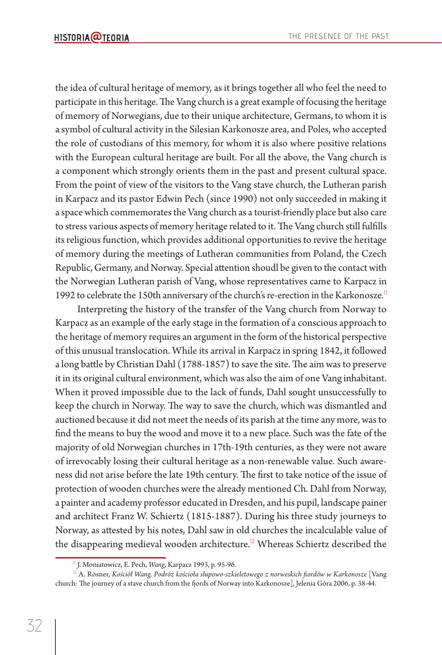the idea of cultural heritage of memory, as it brings together all who feel the need to participate in this heritage. The Vang church is a great example of focusing the heritage of memory of Norwegians, due to their unique architecture, Germans, to whom it is a symbol of cultural activity in the Silesian Karkonosze area, and Poles, who accepted the role of custodians of this memory, for whom it is also where positive relations with the European cultural heritage are built. For all the above, the Vang church is a component which strongly orients them in the past and present cultural space. From the point of view of the visitors to the Vang stave church, the Lutheran parish in Karpacz and its pastor Edwin Pech (since 1990) not only succeeded in making it a space which commemorates the Vang church as a tourist-friendly place but also care to stress various aspects of memory heritage related to it. The Vang church still fulfills its religious function, which provides additional opportunities to revive the heritage of memory during the meetings of Lutheran communities from Poland, the Czech Republic, Germany, and Norway. Special attention shoudl be given to the contact with the Norwegian Lutheran parish of Vang, whose representatives came to Karpacz in 1992 to celebrate the 150th anniversary of the church's re-erection in the Karkonosze.<sup>11</sup>

Interpreting the history of the transfer of the Vang church from Norway to Karpacz as an example of the early stage in the formation of a conscious approach to the heritage of memory requires an argument in the form of the historical perspective of this unusual translocation. While its arrival in Karpacz in spring 1842, it followed a long battle by Christian Dahl (1788-1857) to save the site. The aim was to preserve it in its original cultural environment, which was also the aim of one Vang inhabitant. When it proved impossible due to the lack of funds, Dahl sought unsuccessfully to keep the church in Norway. The way to save the church, which was dismantled and auctioned because it did not meet the needs of its parish at the time any more, was to find the means to buy the wood and move it to a new place. Such was the fate of the majority of old Norwegian churches in 17th-19th centuries, as they were not aware of irrevocably losing their cultural heritage as a non-renewable value. Such awareness did not arise before the late 19th century. The first to take notice of the issue of protection of wooden churches were the already mentioned Ch. Dahl from Norway, a painter and academy professor educated in Dresden, and his pupil, landscape painer and architect Franz W. Schiertz (1815-1887). During his three study journeys to Norway, as attested by his notes, Dahl saw in old churches the incalculable value of the disappearing medieval wooden architecture.<sup>12</sup> Whereas Schiertz described the

<sup>11</sup> J. Moniatowicz, E. Pech, *Wang*, Karpacz 1993, p. 95-96.

 $^{12}$  A. Rösner, *Kościół Wang. Podróż kościoła słupowo-szkieletowego z norweskich fiordów w Karkonosze* [Vang church: The journey of a stave church from the fjords of Norway into Karkonosze], Jelenia Góra 2006, p. 38-44.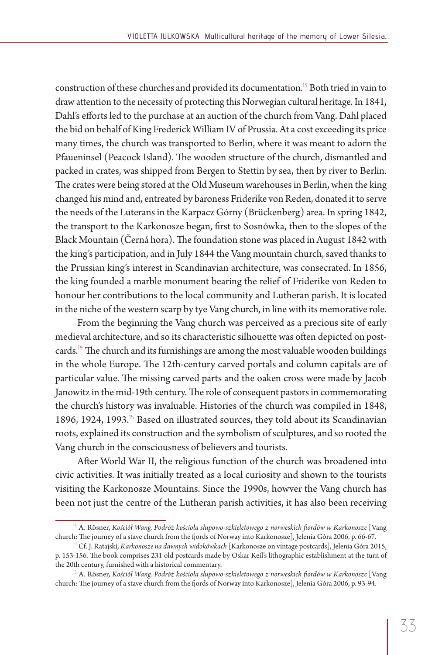construction of these churches and provided its documentation.<sup>13</sup> Both tried in vain to draw attention to the necessity of protecting this Norwegian cultural heritage. In 1841, Dahl's efforts led to the purchase at an auction of the church from Vang. Dahl placed the bid on behalf of King Frederick William IV of Prussia. At a cost exceeding its price many times, the church was transported to Berlin, where it was meant to adorn the Pfaueninsel (Peacock Island). The wooden structure of the church, dismantled and packed in crates, was shipped from Bergen to Stettin by sea, then by river to Berlin. The crates were being stored at the Old Museum warehouses in Berlin, when the king changed his mind and, entreated by baroness Friderike von Reden, donated it to serve the needs of the Luterans in the Karpacz Górny (Brückenberg) area. In spring 1842, the transport to the Karkonosze began, first to Sosnówka, then to the slopes of the Black Mountain (Cerná hora). The foundation stone was placed in August 1842 with the king's participation, and in July 1844 the Vang mountain church, saved thanks to the Prussian king's interest in Scandinavian architecture, was consecrated. In 1856, the king founded a marble monument bearing the relief of Friderike von Reden to honour her contributions to the local community and Lutheran parish. It is located in the niche of the western scarp by tye Vang church, in line with its memorative role.

From the beginning the Vang church was perceived as a precious site of early medieval architecture, and so its characteristic silhouette was often depicted on postcards.<sup>14</sup> The church and its furnishings are among the most valuable wooden buildings in the whole Europe. The 12th-century carved portals and column capitals are of particular value. The missing carved parts and the oaken cross were made by Jacob Janowitz in the mid-19th century. The role of consequent pastors in commemorating the church's history was invaluable. Histories of the church was compiled in 1848, 1896, 1924, 1993.<sup>15</sup> Based on illustrated sources, they told about its Scandinavian roots, explained its construction and the symbolism of sculptures, and so rooted the Vang church in the consciousness of believers and tourists.

After World War II, the religious function of the church was broadened into civic activities. It was initially treated as a local curiosity and shown to the tourists visiting the Karkonosze Mountains. Since the 1990s, howver the Vang church has been not just the centre of the Lutheran parish activities, it has also been receiving

<sup>13</sup> A. Rösner, *Kościół Wang. Podróż kościoła słupowo-szkieletowego z norweskich fi ordów w Karkonosze* [Vang church: The journey of a stave church from the fjords of Norway into Karkonosze], Jelenia Góra 2006, p. 66-67.

<sup>&</sup>lt;sup>14</sup> Cf. J. Ratajski, *Karkonosze na dawnych widokówkach* [Karkonosze on vintage postcards], Jelenia Góra 2015, p. 153-156. The book comprises 231 old postcards made by Oskar Keil's lithographic establishment at the turn of the 20th century, furnished with a historical commentary.

<sup>&</sup>lt;sup>15</sup> A. Rösner, *Kościół Wang. Podróż kościoła słupowo-szkieletowego z norweskich fiordów w Karkonosze* [Vang church: The journey of a stave church from the fjords of Norway into Karkonosze], Jelenia Góra 2006, p. 93-94.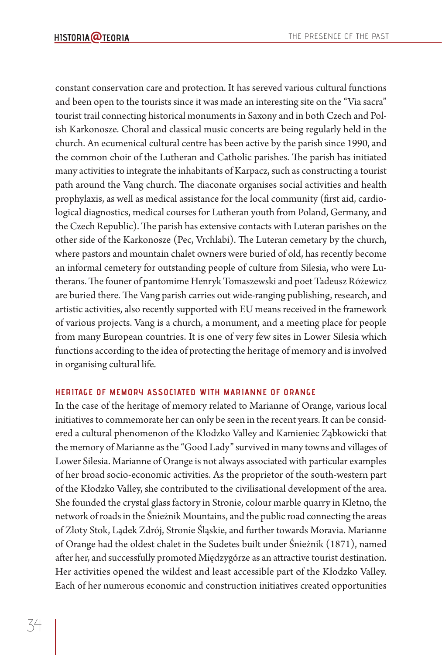constant conservation care and protection. It has sereved various cultural functions and been open to the tourists since it was made an interesting site on the "Via sacra" tourist trail connecting historical monuments in Saxony and in both Czech and Polish Karkonosze. Choral and classical music concerts are being regularly held in the church. An ecumenical cultural centre has been active by the parish since 1990, and the common choir of the Lutheran and Catholic parishes. The parish has initiated many activities to integrate the inhabitants of Karpacz, such as constructing a tourist path around the Vang church. The diaconate organises social activities and health prophylaxis, as well as medical assistance for the local community (first aid, cardiological diagnostics, medical courses for Lutheran youth from Poland, Germany, and the Czech Republic). The parish has extensive contacts with Luteran parishes on the other side of the Karkonosze (Pec, Vrchlabi). The Luteran cemetary by the church, where pastors and mountain chalet owners were buried of old, has recently become an informal cemetery for outstanding people of culture from Silesia, who were Lutherans. The founer of pantomime Henryk Tomaszewski and poet Tadeusz Różewicz are buried there. The Vang parish carries out wide-ranging publishing, research, and artistic activities, also recently supported with EU means received in the framework of various projects. Vang is a church, a monument, and a meeting place for people from many European countries. It is one of very few sites in Lower Silesia which functions according to the idea of protecting the heritage of memory and is involved in organising cultural life.

#### **HERITAGE OF MEMORY ASSOCIATED WITH MARIANNE OF ORANGE**

In the case of the heritage of memory related to Marianne of Orange, various local initiatives to commemorate her can only be seen in the recent years. It can be considered a cultural phenomenon of the Kłodzko Valley and Kamieniec Ząbkowicki that the memory of Marianne as the "Good Lady" survived in many towns and villages of Lower Silesia. Marianne of Orange is not always associated with particular examples of her broad socio-economic activities. As the proprietor of the south-western part of the Kłodzko Valley, she contributed to the civilisational development of the area. She founded the crystal glass factory in Stronie, colour marble quarry in Kletno, the network of roads in the Śnieżnik Mountains, and the public road connecting the areas of Złoty Stok, Lądek Zdrój, Stronie Śląskie, and further towards Moravia. Marianne of Orange had the oldest chalet in the Sudetes built under Śnieżnik (1871), named after her, and successfully promoted Międzygórze as an attractive tourist destination. Her activities opened the wildest and least accessible part of the Kłodzko Valley. Each of her numerous economic and construction initiatives created opportunities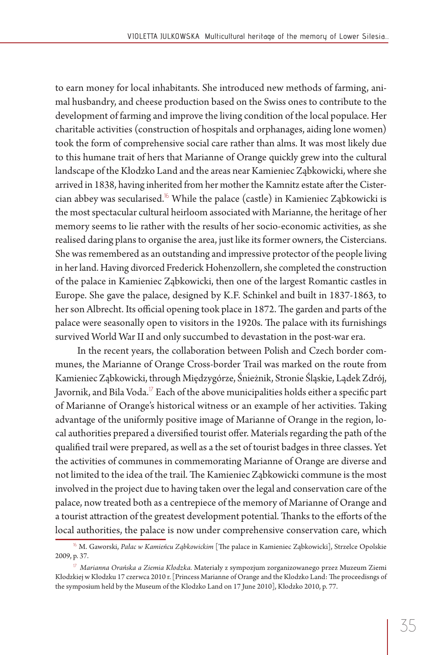to earn money for local inhabitants. She introduced new methods of farming, animal husbandry, and cheese production based on the Swiss ones to contribute to the development of farming and improve the living condition of the local populace. Her charitable activities (construction of hospitals and orphanages, aiding lone women) took the form of comprehensive social care rather than alms. It was most likely due to this humane trait of hers that Marianne of Orange quickly grew into the cultural landscape of the Kłodzko Land and the areas near Kamieniec Ząbkowicki, where she arrived in 1838, having inherited from her mother the Kamnitz estate after the Cistercian abbey was secularised.<sup>16</sup> While the palace (castle) in Kamieniec Ząbkowicki is the most spectacular cultural heirloom associated with Marianne, the heritage of her memory seems to lie rather with the results of her socio-economic activities, as she realised daring plans to organise the area, just like its former owners, the Cistercians. She was remembered as an outstanding and impressive protector of the people living in her land. Having divorced Frederick Hohenzollern, she completed the construction of the palace in Kamieniec Ząbkowicki, then one of the largest Romantic castles in Europe. She gave the palace, designed by K.F. Schinkel and built in 1837-1863, to her son Albrecht. Its official opening took place in 1872. The garden and parts of the palace were seasonally open to visitors in the 1920s. The palace with its furnishings survived World War II and only succumbed to devastation in the post-war era.

In the recent years, the collaboration between Polish and Czech border communes, the Marianne of Orange Cross-border Trail was marked on the route from Kamieniec Ząbkowicki, through Międzygórze, Śnieżnik, Stronie Śląskie, Lądek Zdrój, Javornik, and Bila Voda. $^{17}$  Each of the above municipalities holds either a specific part of Marianne of Orange's historical witness or an example of her activities. Taking advantage of the uniformly positive image of Marianne of Orange in the region, local authorities prepared a diversified tourist offer. Materials regarding the path of the qualified trail were prepared, as well as a the set of tourist badges in three classes. Yet the activities of communes in commemorating Marianne of Orange are diverse and not limited to the idea of the trail. The Kamieniec Ząbkowicki commune is the most involved in the project due to having taken over the legal and conservation care of the palace, now treated both as a centrepiece of the memory of Marianne of Orange and a tourist attraction of the greatest development potential. Thanks to the efforts of the local authorities, the palace is now under comprehensive conservation care, which

<sup>&</sup>lt;sup>16</sup> M. Gaworski, Pałac w Kamieńcu Ząbkowickim [The palace in Kamieniec Ząbkowicki], Strzelce Opolskie 2009, p. 37.

<sup>17</sup> *Marianna Orańska a Ziemia Kłodzka.* Materiały z sympozjum zorganizowanego przez Muzeum Ziemi Kłodzkiej w Kłodzku 17 czerwca 2010 r. [Princess Marianne of Orange and the Klodzko Land: The proceedisngs of the symposium held by the Museum of the Klodzko Land on 17 June 2010], Kłodzko 2010, p. 77.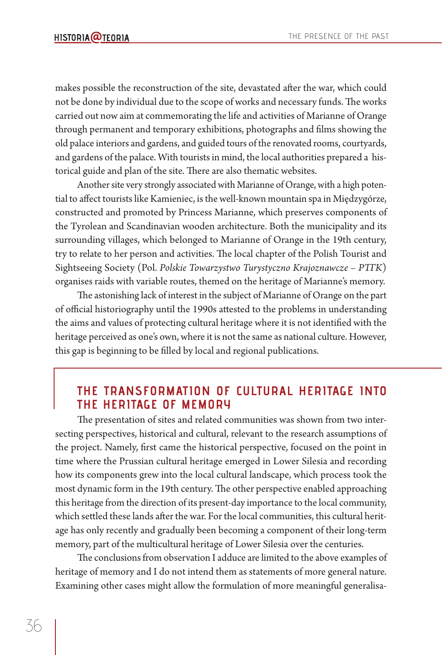makes possible the reconstruction of the site, devastated after the war, which could not be done by individual due to the scope of works and necessary funds. The works carried out now aim at commemorating the life and activities of Marianne of Orange through permanent and temporary exhibitions, photographs and films showing the old palace interiors and gardens, and guided tours of the renovated rooms, courtyards, and gardens of the palace. With tourists in mind, the local authorities prepared a historical guide and plan of the site. There are also thematic websites.

Another site very strongly associated with Marianne of Orange, with a high potential to affect tourists like Kamieniec, is the well-known mountain spa in Międzygórze, constructed and promoted by Princess Marianne, which preserves components of the Tyrolean and Scandinavian wooden architecture. Both the municipality and its surrounding villages, which belonged to Marianne of Orange in the 19th century, try to relate to her person and activities. The local chapter of the Polish Tourist and Sightseeing Society (Pol. *Polskie Towarzystwo Turystyczno Krajoznawcze – PTT K*) organises raids with variable routes, themed on the heritage of Marianne's memory.

The astonishing lack of interest in the subject of Marianne of Orange on the part of official historiography until the 1990s attested to the problems in understanding the aims and values of protecting cultural heritage where it is not identified with the heritage perceived as one's own, where it is not the same as national culture. However, this gap is beginning to be filled by local and regional publications.

## **THE TRANSFORMATION OF CULTURAL HERITAGE INTO THE HERITAGE OF MEMORY**

The presentation of sites and related communities was shown from two intersecting perspectives, historical and cultural, relevant to the research assumptions of the project. Namely, first came the historical perspective, focused on the point in time where the Prussian cultural heritage emerged in Lower Silesia and recording how its components grew into the local cultural landscape, which process took the most dynamic form in the 19th century. The other perspective enabled approaching this heritage from the direction of its present-day importance to the local community, which settled these lands after the war. For the local communities, this cultural heritage has only recently and gradually been becoming a component of their long-term memory, part of the multicultural heritage of Lower Silesia over the centuries.

The conclusions from observation I adduce are limited to the above examples of heritage of memory and I do not intend them as statements of more general nature. Examining other cases might allow the formulation of more meaningful generalisa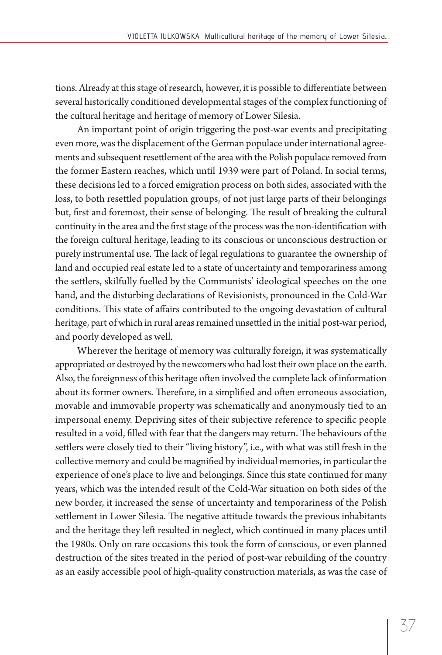tions. Already at this stage of research, however, it is possible to differentiate between several historically conditioned developmental stages of the complex functioning of the cultural heritage and heritage of memory of Lower Silesia.

An important point of origin triggering the post-war events and precipitating even more, was the displacement of the German populace under international agreements and subsequent resettlement of the area with the Polish populace removed from the former Eastern reaches, which until 1939 were part of Poland. In social terms, these decisions led to a forced emigration process on both sides, associated with the loss, to both resettled population groups, of not just large parts of their belongings but, first and foremost, their sense of belonging. The result of breaking the cultural continuity in the area and the first stage of the process was the non-identification with the foreign cultural heritage, leading to its conscious or unconscious destruction or purely instrumental use. The lack of legal regulations to guarantee the ownership of land and occupied real estate led to a state of uncertainty and temporariness among the settlers, skilfully fuelled by the Communists' ideological speeches on the one hand, and the disturbing declarations of Revisionists, pronounced in the Cold-War conditions. This state of affairs contributed to the ongoing devastation of cultural heritage, part of which in rural areas remained unsettled in the initial post-war period, and poorly developed as well.

Wherever the heritage of memory was culturally foreign, it was systematically appropriated or destroyed by the newcomers who had lost their own place on the earth. Also, the foreignness of this heritage often involved the complete lack of information about its former owners. Therefore, in a simplified and often erroneous association, movable and immovable property was schematically and anonymously tied to an impersonal enemy. Depriving sites of their subjective reference to specific people resulted in a void, filled with fear that the dangers may return. The behaviours of the settlers were closely tied to their "living history", i.e., with what was still fresh in the collective memory and could be magnified by individual memories, in particular the experience of one's place to live and belongings. Since this state continued for many years, which was the intended result of the Cold-War situation on both sides of the new border, it increased the sense of uncertainty and temporariness of the Polish settlement in Lower Silesia. The negative attitude towards the previous inhabitants and the heritage they left resulted in neglect, which continued in many places until the 1980s. Only on rare occasions this took the form of conscious, or even planned destruction of the sites treated in the period of post-war rebuilding of the country as an easily accessible pool of high-quality construction materials, as was the case of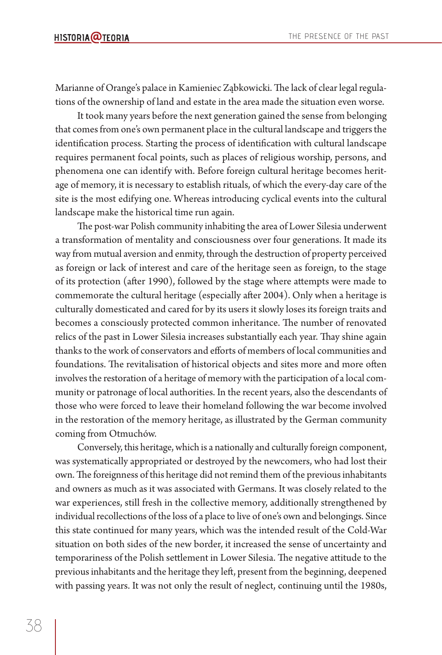Marianne of Orange's palace in Kamieniec Ząbkowicki. The lack of clear legal regulations of the ownership of land and estate in the area made the situation even worse.

It took many years before the next generation gained the sense from belonging that comes from one's own permanent place in the cultural landscape and triggers the identification process. Starting the process of identification with cultural landscape requires permanent focal points, such as places of religious worship, persons, and phenomena one can identify with. Before foreign cultural heritage becomes heritage of memory, it is necessary to establish rituals, of which the every-day care of the site is the most edifying one. Whereas introducing cyclical events into the cultural landscape make the historical time run again.

The post-war Polish community inhabiting the area of Lower Silesia underwent a transformation of mentality and consciousness over four generations. It made its way from mutual aversion and enmity, through the destruction of property perceived as foreign or lack of interest and care of the heritage seen as foreign, to the stage of its protection (after 1990), followed by the stage where attempts were made to commemorate the cultural heritage (especially after 2004). Only when a heritage is culturally domesticated and cared for by its users it slowly loses its foreign traits and becomes a consciously protected common inheritance. The number of renovated relics of the past in Lower Silesia increases substantially each year. Thay shine again thanks to the work of conservators and efforts of members of local communities and foundations. The revitalisation of historical objects and sites more and more often involves the restoration of a heritage of memory with the participation of a local community or patronage of local authorities. In the recent years, also the descendants of those who were forced to leave their homeland following the war become involved in the restoration of the memory heritage, as illustrated by the German community coming from Otmuchów.

Conversely, this heritage, which is a nationally and culturally foreign component, was systematically appropriated or destroyed by the newcomers, who had lost their own. The foreignness of this heritage did not remind them of the previous inhabitants and owners as much as it was associated with Germans. It was closely related to the war experiences, still fresh in the collective memory, additionally strengthened by individual recollections of the loss of a place to live of one's own and belongings. Since this state continued for many years, which was the intended result of the Cold-War situation on both sides of the new border, it increased the sense of uncertainty and temporariness of the Polish settlement in Lower Silesia. The negative attitude to the previous inhabitants and the heritage they left, present from the beginning, deepened with passing years. It was not only the result of neglect, continuing until the 1980s,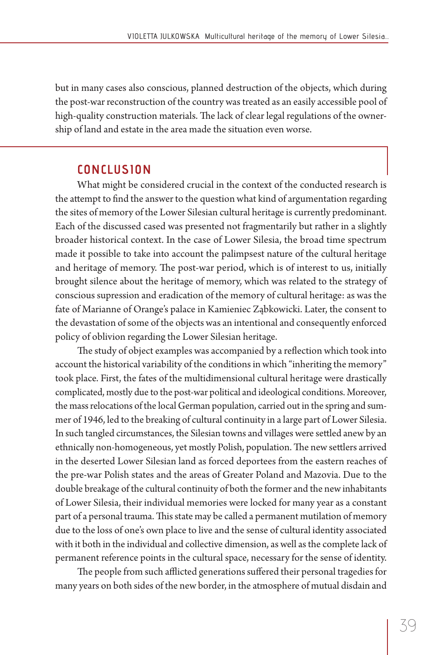but in many cases also conscious, planned destruction of the objects, which during the post-war reconstruction of the country was treated as an easily accessible pool of high-quality construction materials. The lack of clear legal regulations of the ownership of land and estate in the area made the situation even worse.

### **CONCLUSION**

What might be considered crucial in the context of the conducted research is the attempt to find the answer to the question what kind of argumentation regarding the sites of memory of the Lower Silesian cultural heritage is currently predominant. Each of the discussed cased was presented not fragmentarily but rather in a slightly broader historical context. In the case of Lower Silesia, the broad time spectrum made it possible to take into account the palimpsest nature of the cultural heritage and heritage of memory. The post-war period, which is of interest to us, initially brought silence about the heritage of memory, which was related to the strategy of conscious supression and eradication of the memory of cultural heritage: as was the fate of Marianne of Orange's palace in Kamieniec Ząbkowicki. Later, the consent to the devastation of some of the objects was an intentional and consequently enforced policy of oblivion regarding the Lower Silesian heritage.

The study of object examples was accompanied by a reflection which took into account the historical variability of the conditions in which "inheriting the memory" took place. First, the fates of the multidimensional cultural heritage were drastically complicated, mostly due to the post-war political and ideological conditions. Moreover, the mass relocations of the local German population, carried out in the spring and summer of 1946, led to the breaking of cultural continuity in a large part of Lower Silesia. In such tangled circumstances, the Silesian towns and villages were settled anew by an ethnically non-homogeneous, yet mostly Polish, population. The new settlers arrived in the deserted Lower Silesian land as forced deportees from the eastern reaches of the pre-war Polish states and the areas of Greater Poland and Mazovia. Due to the double breakage of the cultural continuity of both the former and the new inhabitants of Lower Silesia, their individual memories were locked for many year as a constant part of a personal trauma. This state may be called a permanent mutilation of memory due to the loss of one's own place to live and the sense of cultural identity associated with it both in the individual and collective dimension, as well as the complete lack of permanent reference points in the cultural space, necessary for the sense of identity.

The people from such afflicted generations suffered their personal tragedies for many years on both sides of the new border, in the atmosphere of mutual disdain and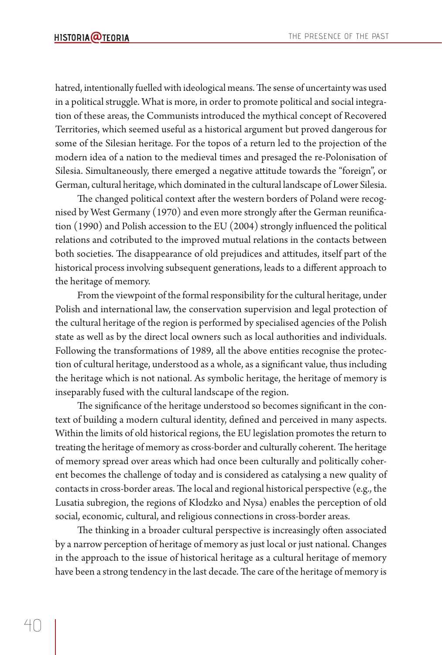hatred, intentionally fuelled with ideological means. The sense of uncertainty was used in a political struggle. What is more, in order to promote political and social integration of these areas, the Communists introduced the mythical concept of Recovered Territories, which seemed useful as a historical argument but proved dangerous for some of the Silesian heritage. For the topos of a return led to the projection of the modern idea of a nation to the medieval times and presaged the re-Polonisation of Silesia. Simultaneously, there emerged a negative attitude towards the "foreign", or German, cultural heritage, which dominated in the cultural landscape of Lower Silesia.

The changed political context after the western borders of Poland were recognised by West Germany (1970) and even more strongly after the German reunification  $(1990)$  and Polish accession to the EU  $(2004)$  strongly influenced the political relations and cotributed to the improved mutual relations in the contacts between both societies. The disappearance of old prejudices and attitudes, itself part of the historical process involving subsequent generations, leads to a different approach to the heritage of memory.

From the viewpoint of the formal responsibility for the cultural heritage, under Polish and international law, the conservation supervision and legal protection of the cultural heritage of the region is performed by specialised agencies of the Polish state as well as by the direct local owners such as local authorities and individuals. Following the transformations of 1989, all the above entities recognise the protection of cultural heritage, understood as a whole, as a significant value, thus including the heritage which is not national. As symbolic heritage, the heritage of memory is inseparably fused with the cultural landscape of the region.

The significance of the heritage understood so becomes significant in the context of building a modern cultural identity, defined and perceived in many aspects. Within the limits of old historical regions, the EU legislation promotes the return to treating the heritage of memory as cross-border and culturally coherent. The heritage of memory spread over areas which had once been culturally and politically coherent becomes the challenge of today and is considered as catalysing a new quality of contacts in cross-border areas. The local and regional historical perspective (e.g., the Lusatia subregion, the regions of Kłodzko and Nysa) enables the perception of old social, economic, cultural, and religious connections in cross-border areas.

The thinking in a broader cultural perspective is increasingly often associated by a narrow perception of heritage of memory as just local or just national. Changes in the approach to the issue of historical heritage as a cultural heritage of memory have been a strong tendency in the last decade. The care of the heritage of memory is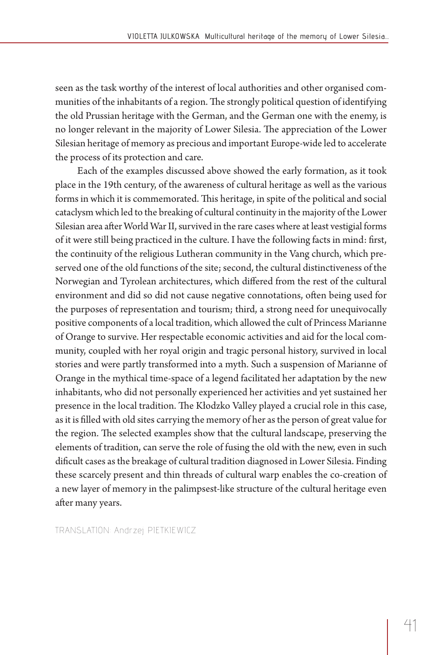seen as the task worthy of the interest of local authorities and other organised communities of the inhabitants of a region. The strongly political question of identifying the old Prussian heritage with the German, and the German one with the enemy, is no longer relevant in the majority of Lower Silesia. The appreciation of the Lower Silesian heritage of memory as precious and important Europe-wide led to accelerate the process of its protection and care.

Each of the examples discussed above showed the early formation, as it took place in the 19th century, of the awareness of cultural heritage as well as the various forms in which it is commemorated. This heritage, in spite of the political and social cataclysm which led to the breaking of cultural continuity in the majority of the Lower Silesian area after World War II, survived in the rare cases where at least vestigial forms of it were still being practiced in the culture. I have the following facts in mind: first, the continuity of the religious Lutheran community in the Vang church, which preserved one of the old functions of the site; second, the cultural distinctiveness of the Norwegian and Tyrolean architectures, which differed from the rest of the cultural environment and did so did not cause negative connotations, often being used for the purposes of representation and tourism; third, a strong need for unequivocally positive components of a local tradition, which allowed the cult of Princess Marianne of Orange to survive. Her respectable economic activities and aid for the local community, coupled with her royal origin and tragic personal history, survived in local stories and were partly transformed into a myth. Such a suspension of Marianne of Orange in the mythical time-space of a legend facilitated her adaptation by the new inhabitants, who did not personally experienced her activities and yet sustained her presence in the local tradition. The Kłodzko Valley played a crucial role in this case, as it is filled with old sites carrying the memory of her as the person of great value for the region. The selected examples show that the cultural landscape, preserving the elements of tradition, can serve the role of fusing the old with the new, even in such dificult cases as the breakage of cultural tradition diagnosed in Lower Silesia. Finding these scarcely present and thin threads of cultural warp enables the co-creation of a new layer of memory in the palimpsest-like structure of the cultural heritage even after many years.

TRANSLATION: Andrzej PIETKIEWICZ